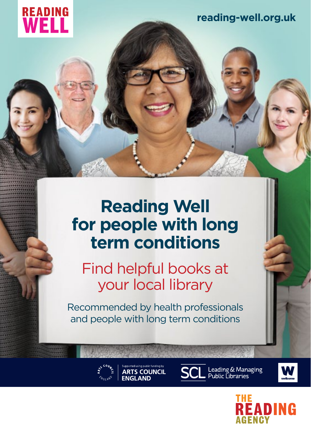

**[reading-well.org.uk](http://www.reading-well.org.uk)**

# **Reading Well for people with long term conditions**

Find helpful books at your local library

Recommended by health professionals and people with long term conditions



ported using public funding by **ARTS COUNCIL ENGLAND** 



Leading & Managing<br>Public Libraries



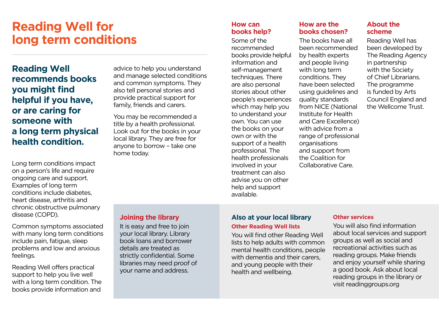# **Reading Well for long term conditions**

**Reading Well recommends books you might find helpful if you have, or are caring for someone with a long term physical health condition.**

Long term conditions impact on a person's life and require ongoing care and support. Examples of long term conditions include diabetes, heart disease, arthritis and chronic obstructive pulmonary disease (COPD).

Common symptoms associated with many long term conditions include pain, fatigue, sleep problems and low and anxious feelings.

Reading Well offers practical support to help you live well with a long term condition. The books provide information and

advice to help you understand and manage selected conditions and common symptoms. They also tell personal stories and provide practical support for family, friends and carers.

You may be recommended a title by a health professional. Look out for the books in your local library. They are free for anyone to borrow – take one home today.

## **How can books help?**

Some of the recommended books provide helpful information and self-management techniques. There are also personal stories about other people's experiences which may help you to understand your own. You can use the books on your own or with the support of a health professional. The health professionals involved in your treatment can also advise you on other help and support available.

# **How are the books chosen?**

The books have all been recommended by health experts and people living with long term conditions. They have been selected using guidelines and quality standards from NICE (National Institute for Health and Care Excellence) with advice from a range of professional organisations and support from the Coalition for Collaborative Care.

### **About the scheme**

Reading Well has been developed by The Reading Agency in partnership with the Society of Chief Librarians. The programme is funded by Arts Council England and the Wellcome Trust.

# **Joining the library**

It is easy and free to join your local library. Library book loans and borrower details are treated as strictly confidential. Some libraries may need proof of your name and address.

# **Also at your local library Other Reading Well lists**

You will find other Reading Well lists to help adults with common mental health conditions, people with dementia and their carers, and young people with their health and wellbeing.

#### **Other services**

You will also find information about local services and support groups as well as social and recreational activities such as reading groups. Make friends and enjoy yourself while sharing a good book. Ask about local reading groups in the library or visit readinggroups.org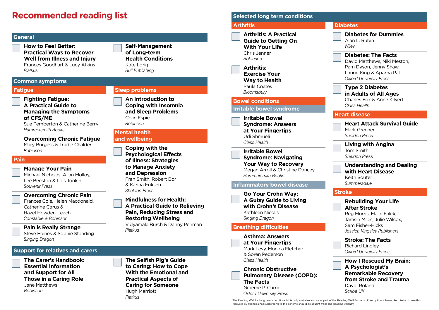# **Recommended reading list Selected long term conditions**

**Those in a Caring Role**

Jane Matthews *Robinson*

**Pain** 

#### **The Carer's Handbook: Essential Information and Support for All The Selfish Pig's Guide to Caring: How to Cope With the Emotional and Fatigue Fighting Fatigue: A Practical Guide to Managing the Symptoms of CFS/ME** Sue Pemberton & Catherine Berry *Hammersmith Books* **Overcoming Chronic Fatigue** Mary Burgess & Trudie Chalder *Robinson* **Manage Your Pain** Michael Nicholas, Allan Molloy, Lee Beeston & Lois Tonkin *Souvenir Press* **Overcoming Chronic Pain** Frances Cole, Helen Macdonald, Catherine Carus & Hazel Howden-Leach *Constable & Robinson* **Pain is Really Strange** Steve Haines & Sophie Standing *Singing Dragon* **Sleep problems An Introduction to Coping with Insomnia and Sleep Problems** Colin Espie *Robinson* **Mental health and wellbeing Coping with the Psychological Effects of Illness: Strategies to Manage Anxiety and Depression** Fran Smith, Robert Bor & Karina Eriksen *Sheldon Press* **Mindfulness for Health: A Practical Guide to Relieving Pain, Reducing Stress and Restoring Wellbeing** Vidyamala Burch & Danny Penman *Piatkus*  **How to Feel Better: Practical Ways to Recover Well from Illness and Injury** Frances Goodhart & Lucy Atkins *Piatkus* **Self-Management of Long-term Health Conditions** Kate Lorig *Bull Publishing* **Common symptoms General Support for relatives and carers**

**Practical Aspects of Caring for Someone**

Hugh Marriott *Piatkus*

#### **Diabetes Diabetes for Dummies** Alan L. Rubin *Wiley* **Diabetes: The Facts** David Matthews, Niki Meston, Pam Dyson, Jenny Shaw, Laurie King & Aparna Pal *Oxford University Press* **Type 2 Diabetes in Adults of All Ages** Charles Fox & Anne Kilvert *Class Health* **Heart disease Heart Attack Survival Guide**  Mark Greener *Sheldon Press* **Living with Angina**  Tom Smith *Sheldon Press* **Understanding and Dealing with Heart Disease**  Keith Souter *Summersdale* **Stroke Rebuilding Your Life After Stroke** Reg Morris, Malin Falck, Tamsin Miles, Julie Wilcox, Sam Fisher-Hicks *Jessica Kingsley Publishers* **Stroke: The Facts** Richard Lindley *Oxford University Press* **How I Rescued My Brain: A Psychologist's Remarkable Recovery from Stroke and Trauma** David Roland *Scribe UK* **Arthritis Arthritis: A Practical Guide to Getting On With Your Life** Chris Jenner *Robinson* **Arthritis: Exercise Your Way to Health** Paula Coates *Bloomsbury* **Bowel conditions Irritable bowel syndrome Irritable Bowel Syndrome: Answers at Your Fingertips** Udi Shmueli *Class Health* **Irritable Bowel Syndrome: Navigating Your Way to Recovery** Megan Arroll & Christine Dancey *Hammersmith Books* **Inflammatory bowel disease Go Your Crohn Way: A Gutsy Guide to Living with Crohn's Disease** Kathleen Nicolls *Singing Dragon* **Breathing difficulties Asthma: Answers at Your Fingertips** Mark Levy, Monica Fletcher & Soren Pederson *Class Health* **Chronic Obstructive Pulmonary Disease (COPD): The Facts** Graeme P. Currie *Oxford University Press*

The Reading Well for long term conditions list is only available for use as part of the Reading Well Books on Prescription scheme. Permission to use this resource by agencies not subscribing to this scheme should be sought from The Reading Agency.